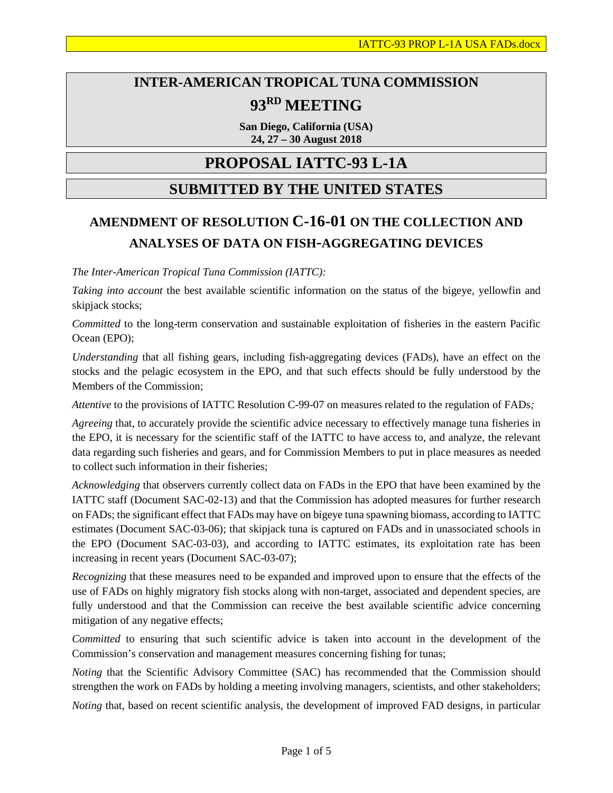# **INTER-AMERICAN TROPICAL TUNA COMMISSION 93RD MEETING**

**San Diego, California (USA) 24, 27 – 30 August 2018**

# **PROPOSAL IATTC-93 L-1A**

## **SUBMITTED BY THE UNITED STATES**

# **AMENDMENT OF RESOLUTION C-16-01 ON THE COLLECTION AND ANALYSES OF DATA ON FISH-AGGREGATING DEVICES**

*The Inter-American Tropical Tuna Commission (IATTC):*

*Taking into account* the best available scientific information on the status of the bigeye, yellowfin and skipjack stocks;

*Committed* to the long-term conservation and sustainable exploitation of fisheries in the eastern Pacific Ocean (EPO);

*Understanding* that all fishing gears, including fish-aggregating devices (FADs), have an effect on the stocks and the pelagic ecosystem in the EPO, and that such effects should be fully understood by the Members of the Commission;

*Attentive* to the provisions of IATTC Resolution C-99-07 on measures related to the regulation of FADs*;*

*Agreeing* that, to accurately provide the scientific advice necessary to effectively manage tuna fisheries in the EPO, it is necessary for the scientific staff of the IATTC to have access to, and analyze, the relevant data regarding such fisheries and gears, and for Commission Members to put in place measures as needed to collect such information in their fisheries;

*Acknowledging* that observers currently collect data on FADs in the EPO that have been examined by the IATTC staff (Document SAC-02-13) and that the Commission has adopted measures for further research on FADs; the significant effect that FADs may have on bigeye tuna spawning biomass, according to IATTC estimates (Document SAC-03-06); that skipjack tuna is captured on FADs and in unassociated schools in the EPO (Document SAC-03-03), and according to IATTC estimates, its exploitation rate has been increasing in recent years (Document SAC-03-07);

*Recognizing* that these measures need to be expanded and improved upon to ensure that the effects of the use of FADs on highly migratory fish stocks along with non-target, associated and dependent species, are fully understood and that the Commission can receive the best available scientific advice concerning mitigation of any negative effects;

*Committed* to ensuring that such scientific advice is taken into account in the development of the Commission's conservation and management measures concerning fishing for tunas;

*Noting* that the Scientific Advisory Committee (SAC) has recommended that the Commission should strengthen the work on FADs by holding a meeting involving managers, scientists, and other stakeholders;

*Noting* that, based on recent scientific analysis, the development of improved FAD designs, in particular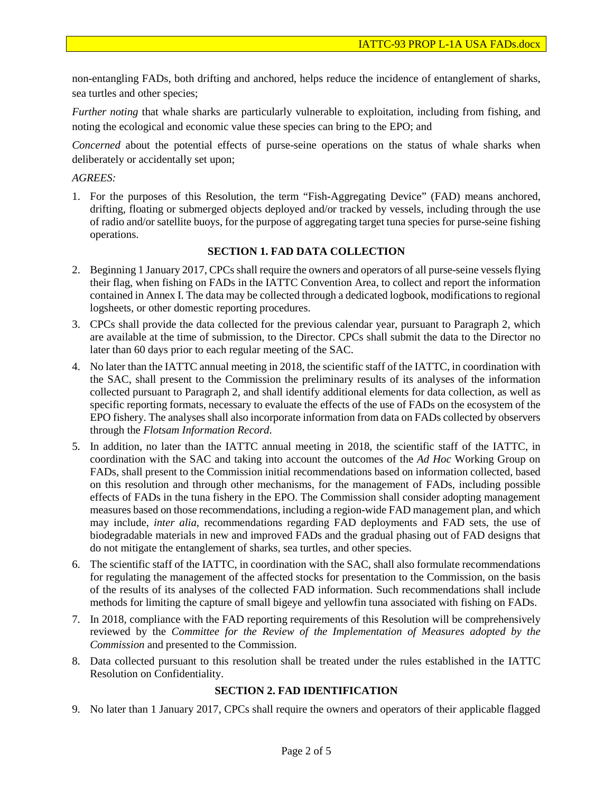non-entangling FADs, both drifting and anchored, helps reduce the incidence of entanglement of sharks, sea turtles and other species;

*Further noting* that whale sharks are particularly vulnerable to exploitation, including from fishing, and noting the ecological and economic value these species can bring to the EPO; and

*Concerned* about the potential effects of purse-seine operations on the status of whale sharks when deliberately or accidentally set upon;

### *AGREES:*

1. For the purposes of this Resolution, the term "Fish-Aggregating Device" (FAD) means anchored, drifting, floating or submerged objects deployed and/or tracked by vessels, including through the use of radio and/or satellite buoys, for the purpose of aggregating target tuna species for purse-seine fishing operations.

#### **SECTION 1. FAD DATA COLLECTION**

- 2. Beginning 1 January 2017, CPCs shall require the owners and operators of all purse-seine vessels flying their flag, when fishing on FADs in the IATTC Convention Area, to collect and report the information contained in Annex I. The data may be collected through a dedicated logbook, modifications to regional logsheets, or other domestic reporting procedures.
- 3. CPCs shall provide the data collected for the previous calendar year, pursuant to Paragraph 2, which are available at the time of submission, to the Director. CPCs shall submit the data to the Director no later than 60 days prior to each regular meeting of the SAC.
- 4. No later than the IATTC annual meeting in 2018, the scientific staff of the IATTC, in coordination with the SAC, shall present to the Commission the preliminary results of its analyses of the information collected pursuant to Paragraph 2, and shall identify additional elements for data collection, as well as specific reporting formats, necessary to evaluate the effects of the use of FADs on the ecosystem of the EPO fishery. The analyses shall also incorporate information from data on FADs collected by observers through the *Flotsam Information Record*.
- 5. In addition, no later than the IATTC annual meeting in 2018, the scientific staff of the IATTC, in coordination with the SAC and taking into account the outcomes of the *Ad Hoc* Working Group on FADs, shall present to the Commission initial recommendations based on information collected, based on this resolution and through other mechanisms, for the management of FADs, including possible effects of FADs in the tuna fishery in the EPO. The Commission shall consider adopting management measures based on those recommendations, including a region-wide FAD management plan, and which may include, *inter alia*, recommendations regarding FAD deployments and FAD sets, the use of biodegradable materials in new and improved FADs and the gradual phasing out of FAD designs that do not mitigate the entanglement of sharks, sea turtles, and other species.
- 6. The scientific staff of the IATTC, in coordination with the SAC, shall also formulate recommendations for regulating the management of the affected stocks for presentation to the Commission, on the basis of the results of its analyses of the collected FAD information. Such recommendations shall include methods for limiting the capture of small bigeye and yellowfin tuna associated with fishing on FADs.
- 7. In 2018, compliance with the FAD reporting requirements of this Resolution will be comprehensively reviewed by the *Committee for the Review of the Implementation of Measures adopted by the Commission* and presented to the Commission.
- 8. Data collected pursuant to this resolution shall be treated under the rules established in the IATTC Resolution on Confidentiality.

### **SECTION 2. FAD IDENTIFICATION**

9. No later than 1 January 2017, CPCs shall require the owners and operators of their applicable flagged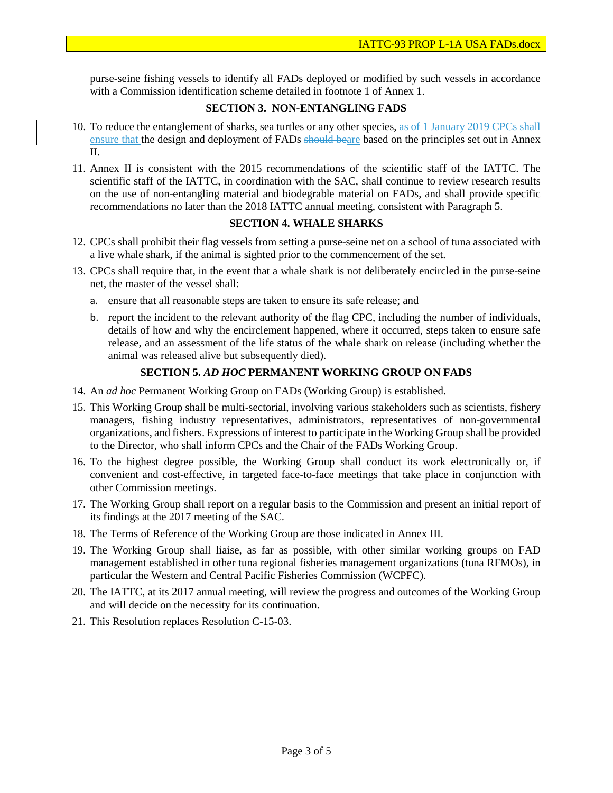purse-seine fishing vessels to identify all FADs deployed or modified by such vessels in accordance with a Commission identification scheme detailed in footnote 1 of Annex 1.

#### **SECTION 3. NON-ENTANGLING FADS**

- 10. To reduce the entanglement of sharks, sea turtles or any other species, as of 1 January 2019 CPCs shall ensure that the design and deployment of FADs should beare based on the principles set out in Annex  $II$ .
- 11. Annex II is consistent with the 2015 recommendations of the scientific staff of the IATTC. The scientific staff of the IATTC, in coordination with the SAC, shall continue to review research results on the use of non-entangling material and biodegrable material on FADs, and shall provide specific recommendations no later than the 2018 IATTC annual meeting, consistent with Paragraph 5.

### **SECTION 4. WHALE SHARKS**

- 12. CPCs shall prohibit their flag vessels from setting a purse-seine net on a school of tuna associated with a live whale shark, if the animal is sighted prior to the commencement of the set.
- 13. CPCs shall require that, in the event that a whale shark is not deliberately encircled in the purse-seine net, the master of the vessel shall:
	- a. ensure that all reasonable steps are taken to ensure its safe release; and
	- b. report the incident to the relevant authority of the flag CPC, including the number of individuals, details of how and why the encirclement happened, where it occurred, steps taken to ensure safe release, and an assessment of the life status of the whale shark on release (including whether the animal was released alive but subsequently died).

#### **SECTION 5.** *AD HOC* **PERMANENT WORKING GROUP ON FADS**

- 14. An *ad hoc* Permanent Working Group on FADs (Working Group) is established.
- 15. This Working Group shall be multi-sectorial, involving various stakeholders such as scientists, fishery managers, fishing industry representatives, administrators, representatives of non-governmental organizations, and fishers. Expressions of interest to participate in the Working Group shall be provided to the Director, who shall inform CPCs and the Chair of the FADs Working Group.
- 16. To the highest degree possible, the Working Group shall conduct its work electronically or, if convenient and cost-effective, in targeted face-to-face meetings that take place in conjunction with other Commission meetings.
- 17. The Working Group shall report on a regular basis to the Commission and present an initial report of its findings at the 2017 meeting of the SAC.
- 18. The Terms of Reference of the Working Group are those indicated in Annex III.
- 19. The Working Group shall liaise, as far as possible, with other similar working groups on FAD management established in other tuna regional fisheries management organizations (tuna RFMOs), in particular the Western and Central Pacific Fisheries Commission (WCPFC).
- 20. The IATTC, at its 2017 annual meeting, will review the progress and outcomes of the Working Group and will decide on the necessity for its continuation.
- 21. This Resolution replaces Resolution C-15-03.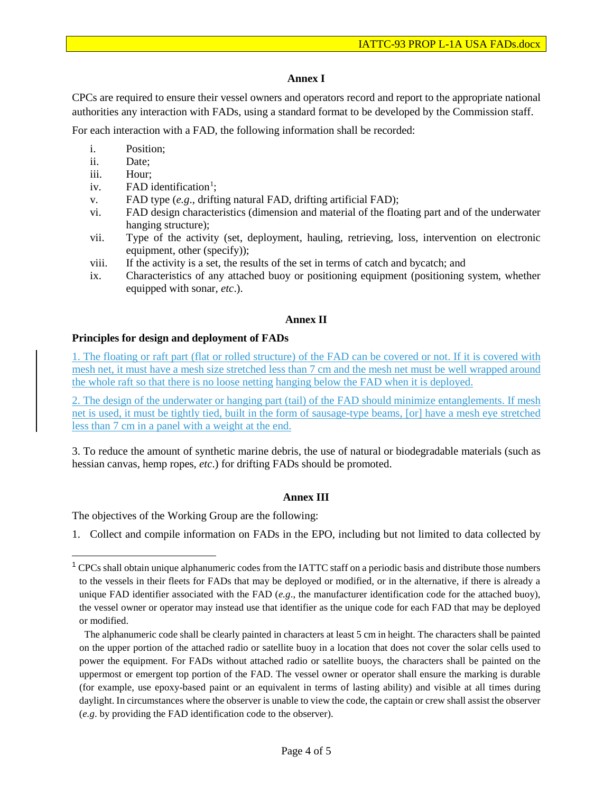#### **Annex I**

CPCs are required to ensure their vessel owners and operators record and report to the appropriate national authorities any interaction with FADs, using a standard format to be developed by the Commission staff.

For each interaction with a FAD, the following information shall be recorded:

- i. Position;
- ii. Date;
- iii. Hour;
- iv.  $FAD$  identification<sup>[1](#page-3-0)</sup>;
- v. FAD type (*e.g*., drifting natural FAD, drifting artificial FAD);
- vi. FAD design characteristics (dimension and material of the floating part and of the underwater hanging structure);
- vii. Type of the activity (set, deployment, hauling, retrieving, loss, intervention on electronic equipment, other (specify));
- viii. If the activity is a set, the results of the set in terms of catch and bycatch; and
- ix. Characteristics of any attached buoy or positioning equipment (positioning system, whether equipped with sonar, *etc*.).

#### **Annex II**

#### **Principles for design and deployment of FADs**

1. The floating or raft part (flat or rolled structure) of the FAD can be covered or not. If it is covered with mesh net, it must have a mesh size stretched less than 7 cm and the mesh net must be well wrapped around the whole raft so that there is no loose netting hanging below the FAD when it is deployed.

2. The design of the underwater or hanging part (tail) of the FAD should minimize entanglements. If mesh net is used, it must be tightly tied, built in the form of sausage-type beams, [or] have a mesh eye stretched less than 7 cm in a panel with a weight at the end.

3. To reduce the amount of synthetic marine debris, the use of natural or biodegradable materials (such as hessian canvas, hemp ropes, *etc*.) for drifting FADs should be promoted.

#### **Annex III**

The objectives of the Working Group are the following:

1. Collect and compile information on FADs in the EPO, including but not limited to data collected by

<span id="page-3-0"></span> $1$  CPCs shall obtain unique alphanumeric codes from the IATTC staff on a periodic basis and distribute those numbers to the vessels in their fleets for FADs that may be deployed or modified, or in the alternative, if there is already a unique FAD identifier associated with the FAD (*e.g*., the manufacturer identification code for the attached buoy), the vessel owner or operator may instead use that identifier as the unique code for each FAD that may be deployed or modified.

The alphanumeric code shall be clearly painted in characters at least 5 cm in height. The characters shall be painted on the upper portion of the attached radio or satellite buoy in a location that does not cover the solar cells used to power the equipment. For FADs without attached radio or satellite buoys, the characters shall be painted on the uppermost or emergent top portion of the FAD. The vessel owner or operator shall ensure the marking is durable (for example, use epoxy-based paint or an equivalent in terms of lasting ability) and visible at all times during daylight. In circumstances where the observer is unable to view the code, the captain or crew shall assist the observer (*e.g*. by providing the FAD identification code to the observer).